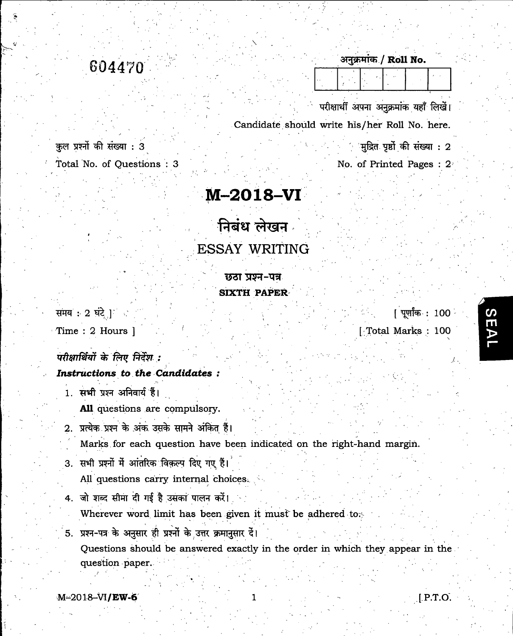604470

कुल प्रश्नों की संख्या : 3

 $\mathcal{F}$ 

Total No. of Questions : 3

## M-2018-VI

## निबंध लेखन ESSAY WRITING

छठा प्रश्न-पत्र SIXTH PAPER

समय $\cdot$  2 घंटे ]

Time : 2 Hours ]

परीक्षार्थियों के लिए निर्देश :

## Instructions to the Candidates :

1. सभी प्रश्न अनिवार्य हैं।

All questions are compulsory.

2. प्रत्येक प्रश्न के अंक उसके सामने अंकित हैं।

Marks for each question have been indicated on the right-hand margin.

- 3. सभी प्रश्नों में आंतरिक विकल्प दिए गए हैं। All questions carry internal choices.
- 4. जो शब्द सीमा दी गई है उसका पालन करें। Wherever word limit has been given it must be adhered to  $\sim$
- 5. प्रश्न-पत्र के अनुसार ही प्रश्नों के उत्तर क्रमानुसार दें। Questions should be answered exactly in the order in which they appear in the question paper.

अनुक्रमांक / Roll No.

परीक्षार्थी अपना अनुक्रमांक यहाँ लिखें। Candidate should write his/her Roll No. here.

'

मुद्रित पृष्ठों की संख्या : 2

No. of Printed Pages : 2

[पूर्णांक : 100 [Total Marks : 100

SE